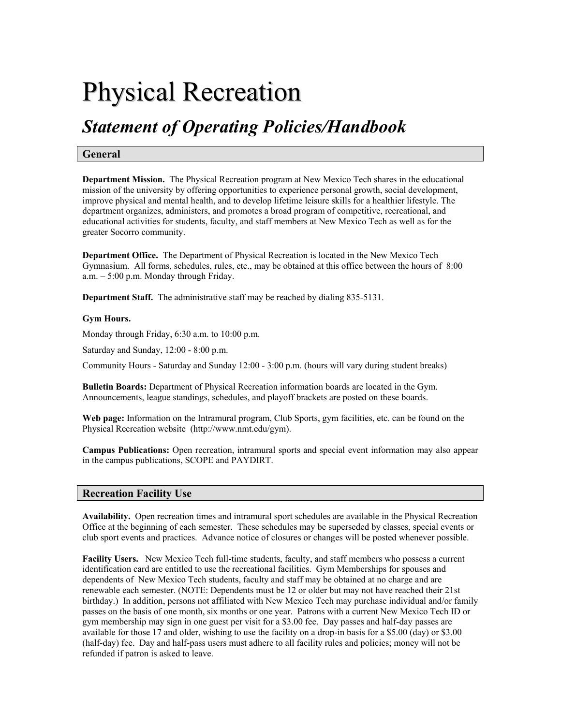# Physical Recreation

## *Statement of Operating Policies/Handbook*

#### **General**

**Department Mission.** The Physical Recreation program at New Mexico Tech shares in the educational mission of the university by offering opportunities to experience personal growth, social development, improve physical and mental health, and to develop lifetime leisure skills for a healthier lifestyle. The department organizes, administers, and promotes a broad program of competitive, recreational, and educational activities for students, faculty, and staff members at New Mexico Tech as well as for the greater Socorro community.

**Department Office.** The Department of Physical Recreation is located in the New Mexico Tech Gymnasium. All forms, schedules, rules, etc., may be obtained at this office between the hours of 8:00 a.m. – 5:00 p.m. Monday through Friday.

**Department Staff.** The administrative staff may be reached by dialing 835-5131.

#### **Gym Hours.**

Monday through Friday, 6:30 a.m. to 10:00 p.m.

Saturday and Sunday, 12:00 - 8:00 p.m.

Community Hours - Saturday and Sunday 12:00 - 3:00 p.m. (hours will vary during student breaks)

**Bulletin Boards:** Department of Physical Recreation information boards are located in the Gym. Announcements, league standings, schedules, and playoff brackets are posted on these boards.

**Web page:** Information on the Intramural program, Club Sports, gym facilities, etc. can be found on the Physical Recreation website (http://www.nmt.edu/gym).

**Campus Publications:** Open recreation, intramural sports and special event information may also appear in the campus publications, SCOPE and PAYDIRT.

### **Recreation Facility Use**

**Availability.** Open recreation times and intramural sport schedules are available in the Physical Recreation Office at the beginning of each semester. These schedules may be superseded by classes, special events or club sport events and practices. Advance notice of closures or changes will be posted whenever possible.

**Facility Users.** New Mexico Tech full-time students, faculty, and staff members who possess a current identification card are entitled to use the recreational facilities. Gym Memberships for spouses and dependents of New Mexico Tech students, faculty and staff may be obtained at no charge and are renewable each semester. (NOTE: Dependents must be 12 or older but may not have reached their 21st birthday.) In addition, persons not affiliated with New Mexico Tech may purchase individual and/or family passes on the basis of one month, six months or one year. Patrons with a current New Mexico Tech ID or gym membership may sign in one guest per visit for a \$3.00 fee. Day passes and half-day passes are available for those 17 and older, wishing to use the facility on a drop-in basis for a \$5.00 (day) or \$3.00 (half-day) fee. Day and half-pass users must adhere to all facility rules and policies; money will not be refunded if patron is asked to leave.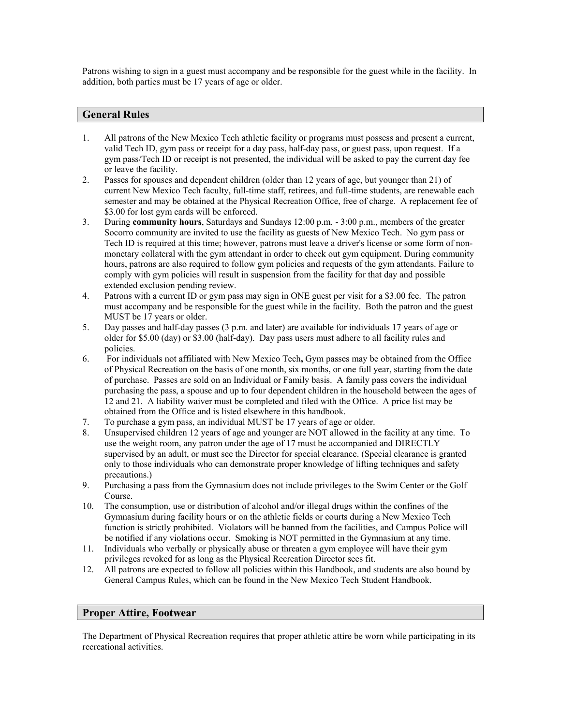Patrons wishing to sign in a guest must accompany and be responsible for the guest while in the facility. In addition, both parties must be 17 years of age or older.

#### **General Rules**

- 1. All patrons of the New Mexico Tech athletic facility or programs must possess and present a current, valid Tech ID, gym pass or receipt for a day pass, half-day pass, or guest pass, upon request. If a gym pass/Tech ID or receipt is not presented, the individual will be asked to pay the current day fee or leave the facility.
- 2. Passes for spouses and dependent children (older than 12 years of age, but younger than 21) of current New Mexico Tech faculty, full-time staff, retirees, and full-time students, are renewable each semester and may be obtained at the Physical Recreation Office, free of charge. A replacement fee of \$3.00 for lost gym cards will be enforced.
- 3. During **community hours**, Saturdays and Sundays 12:00 p.m. 3:00 p.m., members of the greater Socorro community are invited to use the facility as guests of New Mexico Tech. No gym pass or Tech ID is required at this time; however, patrons must leave a driver's license or some form of nonmonetary collateral with the gym attendant in order to check out gym equipment. During community hours, patrons are also required to follow gym policies and requests of the gym attendants. Failure to comply with gym policies will result in suspension from the facility for that day and possible extended exclusion pending review.
- 4. Patrons with a current ID or gym pass may sign in ONE guest per visit for a \$3.00 fee. The patron must accompany and be responsible for the guest while in the facility. Both the patron and the guest MUST be 17 years or older.
- 5. Day passes and half-day passes (3 p.m. and later) are available for individuals 17 years of age or older for \$5.00 (day) or \$3.00 (half-day). Day pass users must adhere to all facility rules and policies.
- 6. For individuals not affiliated with New Mexico Tech**,** Gym passes may be obtained from the Office of Physical Recreation on the basis of one month, six months, or one full year, starting from the date of purchase. Passes are sold on an Individual or Family basis. A family pass covers the individual purchasing the pass, a spouse and up to four dependent children in the household between the ages of 12 and 21. A liability waiver must be completed and filed with the Office. A price list may be obtained from the Office and is listed elsewhere in this handbook.
- 7. To purchase a gym pass, an individual MUST be 17 years of age or older.
- 8. Unsupervised children 12 years of age and younger are NOT allowed in the facility at any time. To use the weight room, any patron under the age of 17 must be accompanied and DIRECTLY supervised by an adult, or must see the Director for special clearance. (Special clearance is granted only to those individuals who can demonstrate proper knowledge of lifting techniques and safety precautions.)
- 9. Purchasing a pass from the Gymnasium does not include privileges to the Swim Center or the Golf Course.
- 10. The consumption, use or distribution of alcohol and/or illegal drugs within the confines of the Gymnasium during facility hours or on the athletic fields or courts during a New Mexico Tech function is strictly prohibited. Violators will be banned from the facilities, and Campus Police will be notified if any violations occur. Smoking is NOT permitted in the Gymnasium at any time.
- 11. Individuals who verbally or physically abuse or threaten a gym employee will have their gym privileges revoked for as long as the Physical Recreation Director sees fit.
- 12. All patrons are expected to follow all policies within this Handbook, and students are also bound by General Campus Rules, which can be found in the New Mexico Tech Student Handbook.

#### **Proper Attire, Footwear**

The Department of Physical Recreation requires that proper athletic attire be worn while participating in its recreational activities.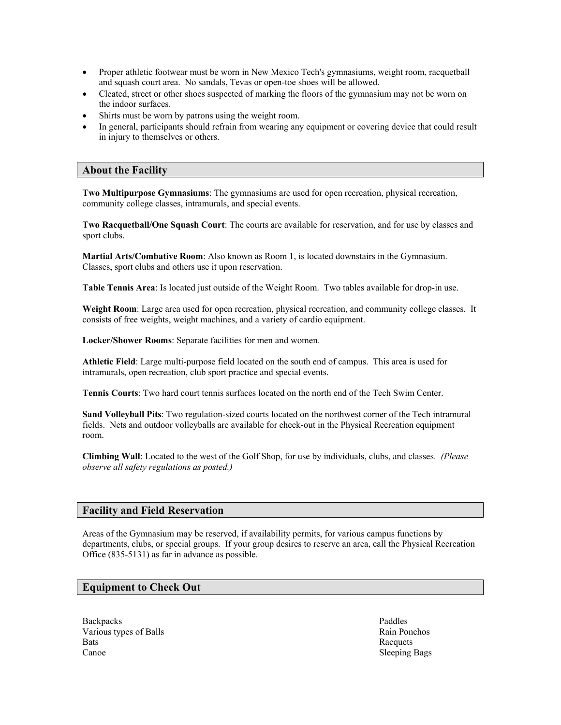- Proper athletic footwear must be worn in New Mexico Tech's gymnasiums, weight room, racquetball and squash court area. No sandals, Tevas or open-toe shoes will be allowed.
- Cleated, street or other shoes suspected of marking the floors of the gymnasium may not be worn on the indoor surfaces.
- Shirts must be worn by patrons using the weight room.
- In general, participants should refrain from wearing any equipment or covering device that could result in injury to themselves or others.

#### **About the Facility**

**Two Multipurpose Gymnasiums**: The gymnasiums are used for open recreation, physical recreation, community college classes, intramurals, and special events.

**Two Racquetball/One Squash Court**: The courts are available for reservation, and for use by classes and sport clubs.

**Martial Arts/Combative Room**: Also known as Room 1, is located downstairs in the Gymnasium. Classes, sport clubs and others use it upon reservation.

**Table Tennis Area**: Is located just outside of the Weight Room. Two tables available for drop-in use.

**Weight Room**: Large area used for open recreation, physical recreation, and community college classes. It consists of free weights, weight machines, and a variety of cardio equipment.

**Locker/Shower Rooms**: Separate facilities for men and women.

**Athletic Field**: Large multi-purpose field located on the south end of campus. This area is used for intramurals, open recreation, club sport practice and special events.

**Tennis Courts**: Two hard court tennis surfaces located on the north end of the Tech Swim Center.

**Sand Volleyball Pits**: Two regulation-sized courts located on the northwest corner of the Tech intramural fields. Nets and outdoor volleyballs are available for check-out in the Physical Recreation equipment room.

**Climbing Wall**: Located to the west of the Golf Shop, for use by individuals, clubs, and classes. *(Please observe all safety regulations as posted.)*

#### **Facility and Field Reservation**

Areas of the Gymnasium may be reserved, if availability permits, for various campus functions by departments, clubs, or special groups. If your group desires to reserve an area, call the Physical Recreation Office (835-5131) as far in advance as possible.

#### **Equipment to Check Out**

Backpacks Paddles Various types of Balls Rain Ponchos **Bats** Racquets Canoe Sleeping Bags Sleeping Bags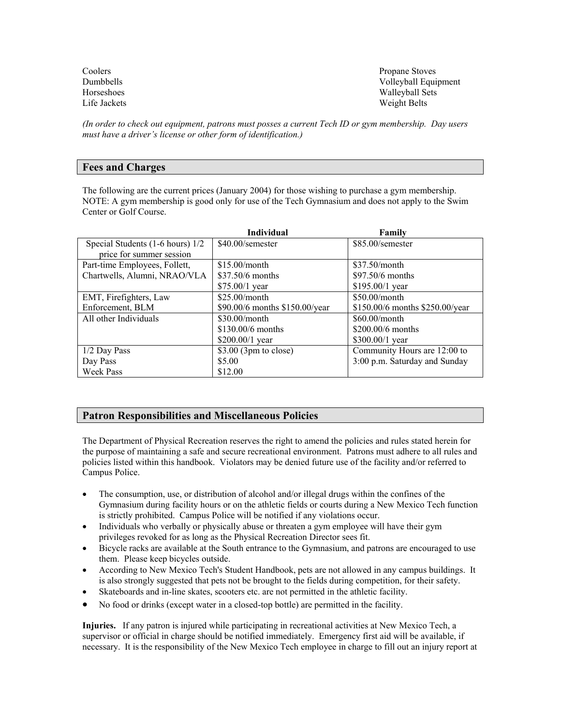| Coolers      | Propane Stoves       |
|--------------|----------------------|
| Dumbbells    | Volleyball Equipment |
| Horseshoes   | Walleyball Sets      |
| Life Jackets | Weight Belts         |

*(In order to check out equipment, patrons must posses a current Tech ID or gym membership. Day users must have a driver's license or other form of identification.)* 

#### **Fees and Charges**

The following are the current prices (January 2004) for those wishing to purchase a gym membership. NOTE: A gym membership is good only for use of the Tech Gymnasium and does not apply to the Swim Center or Golf Course.

|                                  | <b>Individual</b>              | Family                          |
|----------------------------------|--------------------------------|---------------------------------|
| Special Students (1-6 hours) 1/2 | \$40.00/semester               | \$85.00/semester                |
| price for summer session         |                                |                                 |
| Part-time Employees, Follett,    | $$15.00/m$ onth                | $$37.50/m$ onth                 |
| Chartwells, Alumni, NRAO/VLA     | $$37.50/6$ months              | \$97.50/6 months                |
|                                  | $$75.00/1$ year                | $$195.00/1$ year                |
| EMT, Firefighters, Law           | $$25.00/m$ onth                | $$50.00/m$ onth                 |
| Enforcement, BLM                 | \$90.00/6 months \$150.00/year | \$150.00/6 months \$250.00/year |
| All other Individuals            | $$30.00/m$ onth                | $$60.00/m$ onth                 |
|                                  | $$130.00/6$ months             | $$200.00/6$ months              |
|                                  | $$200.00/1$ year               | $$300.00/1$ year                |
| $1/2$ Day Pass                   | $$3.00$ (3pm to close)         | Community Hours are 12:00 to    |
| Day Pass                         | \$5.00                         | 3:00 p.m. Saturday and Sunday   |
| <b>Week Pass</b>                 | \$12.00                        |                                 |

#### **Patron Responsibilities and Miscellaneous Policies**

The Department of Physical Recreation reserves the right to amend the policies and rules stated herein for the purpose of maintaining a safe and secure recreational environment. Patrons must adhere to all rules and policies listed within this handbook. Violators may be denied future use of the facility and/or referred to Campus Police.

- The consumption, use, or distribution of alcohol and/or illegal drugs within the confines of the Gymnasium during facility hours or on the athletic fields or courts during a New Mexico Tech function is strictly prohibited. Campus Police will be notified if any violations occur.
- Individuals who verbally or physically abuse or threaten a gym employee will have their gym privileges revoked for as long as the Physical Recreation Director sees fit.
- Bicycle racks are available at the South entrance to the Gymnasium, and patrons are encouraged to use them. Please keep bicycles outside.
- According to New Mexico Tech's Student Handbook, pets are not allowed in any campus buildings. It is also strongly suggested that pets not be brought to the fields during competition, for their safety.
- Skateboards and in-line skates, scooters etc. are not permitted in the athletic facility.
- No food or drinks (except water in a closed-top bottle) are permitted in the facility.

**Injuries.** If any patron is injured while participating in recreational activities at New Mexico Tech, a supervisor or official in charge should be notified immediately. Emergency first aid will be available, if necessary. It is the responsibility of the New Mexico Tech employee in charge to fill out an injury report at